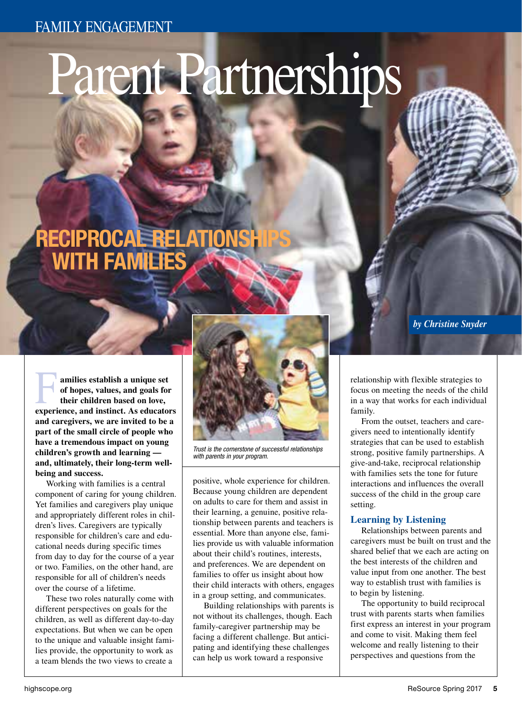# Parent Partnerships

# **RECIPROCAL REL WITH FAMIL**

**AMILIES ESTABLISH A UNIQUE SET OF A LIGARGE STATE OF A LIGARGE STATE OF A LIGARGE STATE OF A LIGARGE STATE OF A LIGARGE STATE OF A LIGARGE STATE OF A LIGARGE STATE OF A LIGARGE STATE OF A LIGARGE STATE OF A LIGARGE STATE of hopes, values, and goals for their children based on love, experience, and instinct. As educators and caregivers, we are invited to be a part of the small circle of people who have a tremendous impact on young children's growth and learning and, ultimately, their long-term wellbeing and success.** 

Working with families is a central component of caring for young children. Yet families and caregivers play unique and appropriately different roles in children's lives. Caregivers are typically responsible for children's care and educational needs during specific times from day to day for the course of a year or two. Families, on the other hand, are responsible for all of children's needs over the course of a lifetime.

These two roles naturally come with different perspectives on goals for the children, as well as different day-to-day expectations. But when we can be open to the unique and valuable insight families provide, the opportunity to work as a team blends the two views to create a



*Trust is the cornerstone of successful relationships with parents in your program.*

positive, whole experience for children. Because young children are dependent on adults to care for them and assist in their learning, a genuine, positive relationship between parents and teachers is essential. More than anyone else, families provide us with valuable information about their child's routines, interests, and preferences. We are dependent on families to offer us insight about how their child interacts with others, engages in a group setting, and communicates.

Building relationships with parents is not without its challenges, though. Each family-caregiver partnership may be facing a different challenge. But anticipating and identifying these challenges can help us work toward a responsive

*by Christine Snyder*

relationship with flexible strategies to focus on meeting the needs of the child in a way that works for each individual family.

From the outset, teachers and caregivers need to intentionally identify strategies that can be used to establish strong, positive family partnerships. A give-and-take, reciprocal relationship with families sets the tone for future interactions and influences the overall success of the child in the group care setting.

#### **Learning by Listening**

Relationships between parents and caregivers must be built on trust and the shared belief that we each are acting on the best interests of the children and value input from one another. The best way to establish trust with families is to begin by listening.

The opportunity to build reciprocal trust with parents starts when families first express an interest in your program and come to visit. Making them feel welcome and really listening to their perspectives and questions from the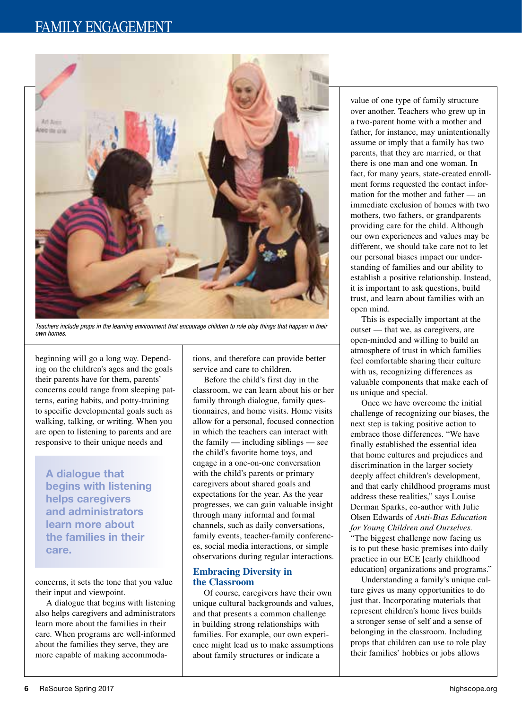## FAMILY ENGAGEMENT



*Teachers include props in the learning environment that encourage children to role play things that happen in their own homes.*

beginning will go a long way. Depending on the children's ages and the goals their parents have for them, parents' concerns could range from sleeping patterns, eating habits, and potty-training to specific developmental goals such as walking, talking, or writing. When you are open to listening to parents and are responsive to their unique needs and

**A dialogue that begins with listening helps caregivers and administrators learn more about the families in their care.**

concerns, it sets the tone that you value their input and viewpoint.

A dialogue that begins with listening also helps caregivers and administrators learn more about the families in their care. When programs are well-informed about the families they serve, they are more capable of making accommodations, and therefore can provide better service and care to children.

Before the child's first day in the classroom, we can learn about his or her family through dialogue, family questionnaires, and home visits. Home visits allow for a personal, focused connection in which the teachers can interact with the family — including siblings — see the child's favorite home toys, and engage in a one-on-one conversation with the child's parents or primary caregivers about shared goals and expectations for the year. As the year progresses, we can gain valuable insight through many informal and formal channels, such as daily conversations, family events, teacher-family conferences, social media interactions, or simple observations during regular interactions.

#### **Embracing Diversity in the Classroom**

Of course, caregivers have their own unique cultural backgrounds and values, and that presents a common challenge in building strong relationships with families. For example, our own experience might lead us to make assumptions about family structures or indicate a

value of one type of family structure over another. Teachers who grew up in a two-parent home with a mother and father, for instance, may unintentionally assume or imply that a family has two parents, that they are married, or that there is one man and one woman. In fact, for many years, state-created enrollment forms requested the contact information for the mother and father — an immediate exclusion of homes with two mothers, two fathers, or grandparents providing care for the child. Although our own experiences and values may be different, we should take care not to let our personal biases impact our understanding of families and our ability to establish a positive relationship. Instead, it is important to ask questions, build trust, and learn about families with an open mind.

This is especially important at the outset — that we, as caregivers, are open-minded and willing to build an atmosphere of trust in which families feel comfortable sharing their culture with us, recognizing differences as valuable components that make each of us unique and special.

Once we have overcome the initial challenge of recognizing our biases, the next step is taking positive action to embrace those differences. "We have finally established the essential idea that home cultures and prejudices and discrimination in the larger society deeply affect children's development, and that early childhood programs must address these realities," says Louise Derman Sparks, co-author with Julie Olsen Edwards of *Anti-Bias Education for Young Children and Ourselves.* "The biggest challenge now facing us is to put these basic premises into daily practice in our ECE [early childhood education] organizations and programs."

Understanding a family's unique culture gives us many opportunities to do just that. Incorporating materials that represent children's home lives builds a stronger sense of self and a sense of belonging in the classroom. Including props that children can use to role play their families' hobbies or jobs allows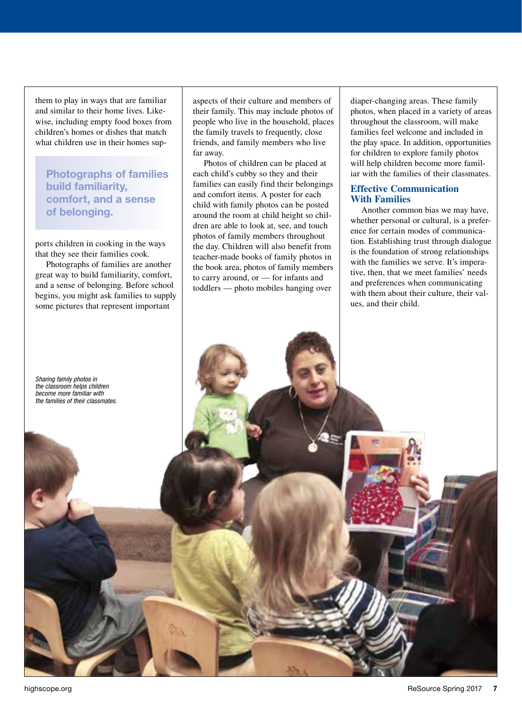them to play in ways that are familiar and similar to their home lives. Likewise, including empty food boxes from children's homes or dishes that match what children use in their homes sup-

**Photographs of families build familiarity, comfort, and a sense of belonging.**

ports children in cooking in the ways that they see their families cook.

Photographs of families are another great way to build familiarity, comfort, and a sense of belonging. Before school begins, you might ask families to supply some pictures that represent important

*Sharing family photos in the classroom helps children become more familiar with the families of their classmates.*

aspects of their culture and members of their family. This may include photos of people who live in the household, places the family travels to frequently, close friends, and family members who live far away.

Photos of children can be placed at each child's cubby so they and their families can easily find their belongings and comfort items. A poster for each child with family photos can be posted around the room at child height so children are able to look at, see, and touch photos of family members throughout the day. Children will also benefit from teacher-made books of family photos in the book area, photos of family members to carry around, or — for infants and toddlers — photo mobiles hanging over

diaper-changing areas. These family photos, when placed in a variety of areas throughout the classroom, will make families feel welcome and included in the play space. In addition, opportunities for children to explore family photos will help children become more familiar with the families of their classmates.

#### **Effective Communication With Families**

Another common bias we may have, whether personal or cultural, is a preference for certain modes of communication. Establishing trust through dialogue is the foundation of strong relationships with the families we serve. It's imperative, then, that we meet families' needs and preferences when communicating with them about their culture, their values, and their child.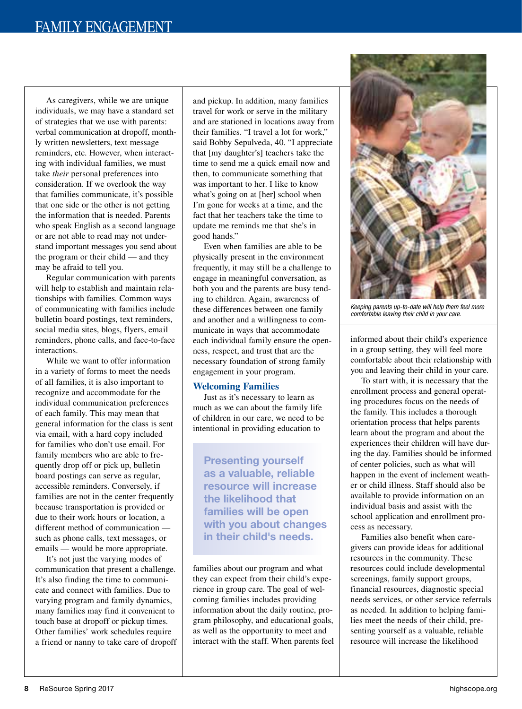As caregivers, while we are unique individuals, we may have a standard set of strategies that we use with parents: verbal communication at dropoff, monthly written newsletters, text message reminders, etc. However, when interacting with individual families, we must take *their* personal preferences into consideration. If we overlook the way that families communicate, it's possible that one side or the other is not getting the information that is needed. Parents who speak English as a second language or are not able to read may not understand important messages you send about the program or their child — and they may be afraid to tell you.

Regular communication with parents will help to establish and maintain relationships with families. Common ways of communicating with families include bulletin board postings, text reminders, social media sites, blogs, flyers, email reminders, phone calls, and face-to-face interactions.

While we want to offer information in a variety of forms to meet the needs of all families, it is also important to recognize and accommodate for the individual communication preferences of each family. This may mean that general information for the class is sent via email, with a hard copy included for families who don't use email. For family members who are able to frequently drop off or pick up, bulletin board postings can serve as regular, accessible reminders. Conversely, if families are not in the center frequently because transportation is provided or due to their work hours or location, a different method of communication such as phone calls, text messages, or emails — would be more appropriate.

It's not just the varying modes of communication that present a challenge. It's also finding the time to communicate and connect with families. Due to varying program and family dynamics, many families may find it convenient to touch base at dropoff or pickup times. Other families' work schedules require a friend or nanny to take care of dropoff and pickup. In addition, many families travel for work or serve in the military and are stationed in locations away from their families. "I travel a lot for work," said Bobby Sepulveda, 40. "I appreciate that [my daughter's] teachers take the time to send me a quick email now and then, to communicate something that was important to her. I like to know what's going on at [her] school when I'm gone for weeks at a time, and the fact that her teachers take the time to update me reminds me that she's in good hands."

Even when families are able to be physically present in the environment frequently, it may still be a challenge to engage in meaningful conversation, as both you and the parents are busy tending to children. Again, awareness of these differences between one family and another and a willingness to communicate in ways that accommodate each individual family ensure the openness, respect, and trust that are the necessary foundation of strong family engagement in your program.

#### **Welcoming Families**

Just as it's necessary to learn as much as we can about the family life of children in our care, we need to be intentional in providing education to

**Presenting yourself as a valuable, reliable resource will increase the likelihood that families will be open with you about changes in their child's needs.**

families about our program and what they can expect from their child's experience in group care. The goal of welcoming families includes providing information about the daily routine, program philosophy, and educational goals, as well as the opportunity to meet and interact with the staff. When parents feel



*Keeping parents up-to-date will help them feel more comfortable leaving their child in your care.*

informed about their child's experience in a group setting, they will feel more comfortable about their relationship with you and leaving their child in your care.

To start with, it is necessary that the enrollment process and general operating procedures focus on the needs of the family. This includes a thorough orientation process that helps parents learn about the program and about the experiences their children will have during the day. Families should be informed of center policies, such as what will happen in the event of inclement weather or child illness. Staff should also be available to provide information on an individual basis and assist with the school application and enrollment process as necessary.

Families also benefit when caregivers can provide ideas for additional resources in the community. These resources could include developmental screenings, family support groups, financial resources, diagnostic special needs services, or other service referrals as needed. In addition to helping families meet the needs of their child, presenting yourself as a valuable, reliable resource will increase the likelihood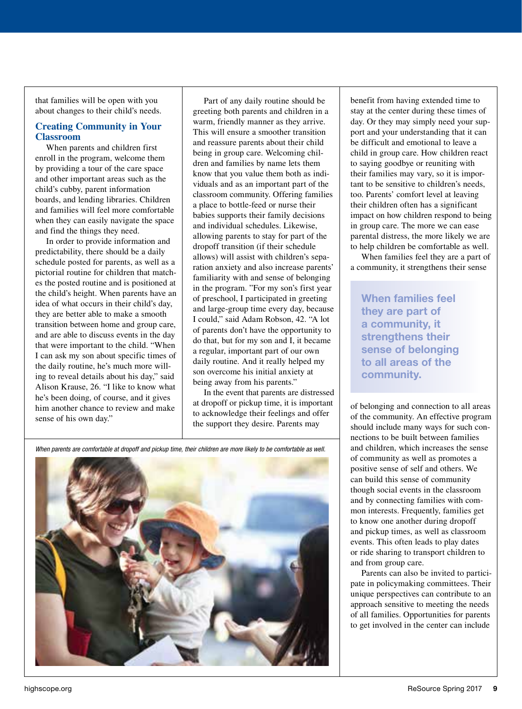that families will be open with you about changes to their child's needs.

#### **Creating Community in Your Classroom**

When parents and children first enroll in the program, welcome them by providing a tour of the care space and other important areas such as the child's cubby, parent information boards, and lending libraries. Children and families will feel more comfortable when they can easily navigate the space and find the things they need.

In order to provide information and predictability, there should be a daily schedule posted for parents, as well as a pictorial routine for children that matches the posted routine and is positioned at the child's height. When parents have an idea of what occurs in their child's day, they are better able to make a smooth transition between home and group care, and are able to discuss events in the day that were important to the child. "When I can ask my son about specific times of the daily routine, he's much more willing to reveal details about his day," said Alison Krause, 26. "I like to know what he's been doing, of course, and it gives him another chance to review and make sense of his own day."

Part of any daily routine should be greeting both parents and children in a warm, friendly manner as they arrive. This will ensure a smoother transition and reassure parents about their child being in group care. Welcoming children and families by name lets them know that you value them both as individuals and as an important part of the classroom community. Offering families a place to bottle-feed or nurse their babies supports their family decisions and individual schedules. Likewise, allowing parents to stay for part of the dropoff transition (if their schedule allows) will assist with children's separation anxiety and also increase parents' familiarity with and sense of belonging in the program. "For my son's first year of preschool, I participated in greeting and large-group time every day, because I could," said Adam Robson, 42. "A lot of parents don't have the opportunity to do that, but for my son and I, it became a regular, important part of our own daily routine. And it really helped my son overcome his initial anxiety at being away from his parents."

In the event that parents are distressed at dropoff or pickup time, it is important to acknowledge their feelings and offer the support they desire. Parents may

*When parents are comfortable at dropoff and pickup time, their children are more likely to be comfortable as well.*



benefit from having extended time to stay at the center during these times of day. Or they may simply need your support and your understanding that it can be difficult and emotional to leave a child in group care. How children react to saying goodbye or reuniting with their families may vary, so it is important to be sensitive to children's needs, too. Parents' comfort level at leaving their children often has a significant impact on how children respond to being in group care. The more we can ease parental distress, the more likely we are to help children be comfortable as well.

When families feel they are a part of a community, it strengthens their sense

**When families feel they are part of a community, it strengthens their sense of belonging to all areas of the community.**

of belonging and connection to all areas of the community. An effective program should include many ways for such connections to be built between families and children, which increases the sense of community as well as promotes a positive sense of self and others. We can build this sense of community though social events in the classroom and by connecting families with common interests. Frequently, families get to know one another during dropoff and pickup times, as well as classroom events. This often leads to play dates or ride sharing to transport children to and from group care.

Parents can also be invited to participate in policymaking committees. Their unique perspectives can contribute to an approach sensitive to meeting the needs of all families. Opportunities for parents to get involved in the center can include